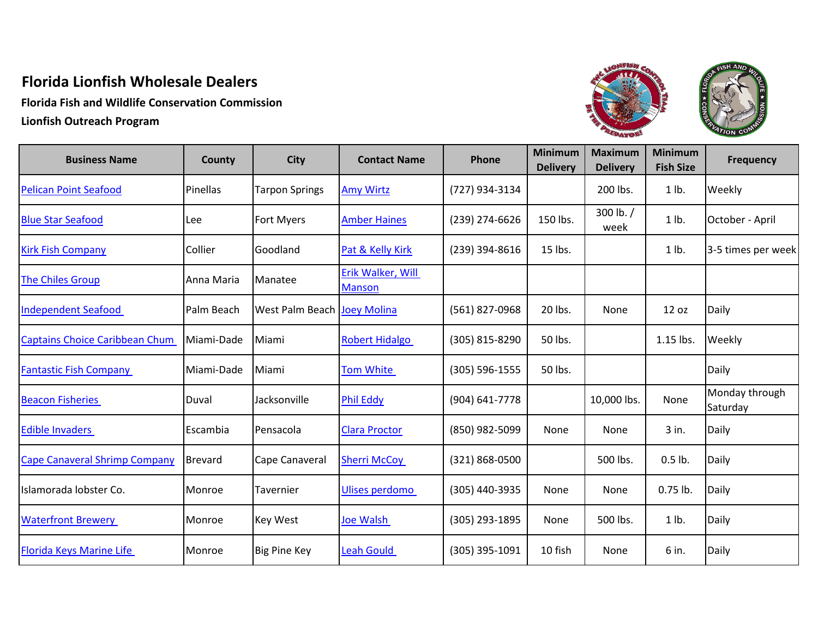## **Florida Lionfish Wholesale Dealers**

**Florida Fish and Wildlife Conservation Commission Lionfish Outreach Program**



| <b>Business Name</b>                  | County         | <b>City</b>                 | <b>Contact Name</b>                | Phone          | <b>Minimum</b><br><b>Delivery</b> | <b>Maximum</b><br><b>Delivery</b> | <b>Minimum</b><br><b>Fish Size</b> | <b>Frequency</b>           |
|---------------------------------------|----------------|-----------------------------|------------------------------------|----------------|-----------------------------------|-----------------------------------|------------------------------------|----------------------------|
| <b>Pelican Point Seafood</b>          | Pinellas       | <b>Tarpon Springs</b>       | <b>Amy Wirtz</b>                   | (727) 934-3134 |                                   | 200 lbs.                          | $1$ lb.                            | Weekly                     |
| <b>Blue Star Seafood</b>              | Lee            | <b>Fort Myers</b>           | <b>Amber Haines</b>                | (239) 274-6626 | 150 lbs.                          | 300 lb./<br>week                  | $1$ lb.                            | October - April            |
| <b>Kirk Fish Company</b>              | Collier        | Goodland                    | Pat & Kelly Kirk                   | (239) 394-8616 | 15 lbs.                           |                                   | $1$ lb.                            | 3-5 times per week         |
| <b>The Chiles Group</b>               | Anna Maria     | Manatee                     | Erik Walker, Will<br><b>Manson</b> |                |                                   |                                   |                                    |                            |
| <b>Independent Seafood</b>            | Palm Beach     | West Palm Beach Joey Molina |                                    | (561) 827-0968 | 20 lbs.                           | None                              | 12 oz                              | Daily                      |
| <b>Captains Choice Caribbean Chum</b> | Miami-Dade     | Miami                       | <b>Robert Hidalgo</b>              | (305) 815-8290 | 50 lbs.                           |                                   | 1.15 lbs.                          | Weekly                     |
| <b>Fantastic Fish Company</b>         | Miami-Dade     | Miami                       | <b>Tom White</b>                   | (305) 596-1555 | 50 lbs.                           |                                   |                                    | Daily                      |
| <b>Beacon Fisheries</b>               | Duval          | Jacksonville                | <b>Phil Eddy</b>                   | (904) 641-7778 |                                   | 10,000 lbs.                       | None                               | Monday through<br>Saturday |
| <b>Edible Invaders</b>                | Escambia       | Pensacola                   | <b>Clara Proctor</b>               | (850) 982-5099 | None                              | None                              | 3 in.                              | Daily                      |
| <b>Cape Canaveral Shrimp Company</b>  | <b>Brevard</b> | Cape Canaveral              | <b>Sherri McCoy</b>                | (321) 868-0500 |                                   | 500 lbs.                          | $0.5$ lb.                          | Daily                      |
| Islamorada lobster Co.                | Monroe         | Tavernier                   | <b>Ulises perdomo</b>              | (305) 440-3935 | None                              | None                              | $0.75$ lb.                         | Daily                      |
| <b>Waterfront Brewery</b>             | Monroe         | <b>Key West</b>             | <b>Joe Walsh</b>                   | (305) 293-1895 | None                              | 500 lbs.                          | $1$ lb.                            | Daily                      |
| <b>Florida Keys Marine Life</b>       | Monroe         | <b>Big Pine Key</b>         | <b>Leah Gould</b>                  | (305) 395-1091 | 10 fish                           | None                              | 6 in.                              | Daily                      |